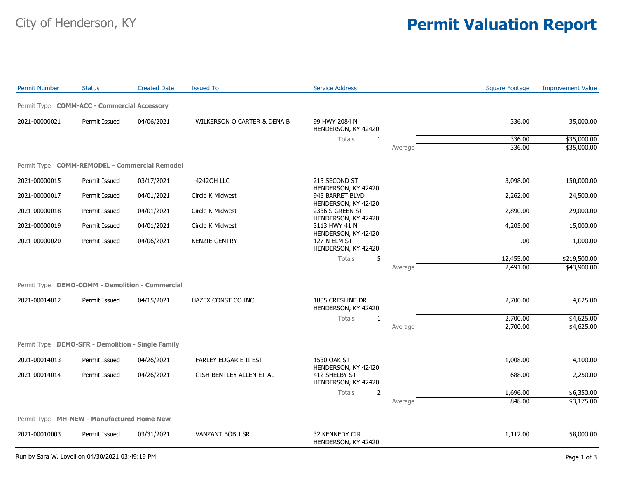## City of Henderson, KY **Permit Valuation Report**

| <b>Permit Number</b>                              | <b>Status</b> | <b>Created Date</b> | <b>Issued To</b>            | <b>Service Address</b>                                                                                                                    |         | <b>Square Footage</b> | <b>Improvement Value</b> |
|---------------------------------------------------|---------------|---------------------|-----------------------------|-------------------------------------------------------------------------------------------------------------------------------------------|---------|-----------------------|--------------------------|
| Permit Type COMM-ACC - Commercial Accessory       |               |                     |                             |                                                                                                                                           |         |                       |                          |
| 2021-00000021                                     | Permit Issued | 04/06/2021          | WILKERSON O CARTER & DENA B | 99 HWY 2084 N<br>HENDERSON, KY 42420                                                                                                      |         | 336.00                | 35,000.00                |
|                                                   |               |                     |                             | <b>Totals</b><br>$\mathbf{1}$                                                                                                             |         | 336.00                | \$35,000.00              |
|                                                   |               |                     |                             |                                                                                                                                           | Average | 336.00                | \$35,000.00              |
| Permit Type COMM-REMODEL - Commercial Remodel     |               |                     |                             |                                                                                                                                           |         |                       |                          |
| 2021-00000015                                     | Permit Issued | 03/17/2021          | 42420H LLC                  | 213 SECOND ST<br>HENDERSON, KY 42420<br>945 BARRET BLVD<br>HENDERSON, KY 42420<br>2336 S GREEN ST<br>HENDERSON, KY 42420<br>3113 HWY 41 N |         | 3,098.00              | 150,000.00               |
| 2021-00000017                                     | Permit Issued | 04/01/2021          | Circle K Midwest            |                                                                                                                                           |         | 2,262.00              | 24,500.00                |
| 2021-00000018                                     | Permit Issued | 04/01/2021          | Circle K Midwest            |                                                                                                                                           |         | 2,890.00              | 29,000.00                |
| 2021-00000019                                     | Permit Issued | 04/01/2021          | Circle K Midwest            |                                                                                                                                           |         | 4,205.00              | 15,000.00                |
| 2021-00000020                                     | Permit Issued | 04/06/2021          | <b>KENZIE GENTRY</b>        | HENDERSON, KY 42420<br>127 N ELM ST<br>HENDERSON, KY 42420                                                                                |         | .00                   | 1,000.00                 |
|                                                   |               |                     |                             | 5<br><b>Totals</b>                                                                                                                        |         | 12,455.00             | \$219,500.00             |
|                                                   |               |                     |                             |                                                                                                                                           | Average | 2,491.00              | \$43,900.00              |
| Permit Type DEMO-COMM - Demolition - Commercial   |               |                     |                             |                                                                                                                                           |         |                       |                          |
| 2021-00014012                                     | Permit Issued | 04/15/2021          | HAZEX CONST CO INC          | 1805 CRESLINE DR<br>HENDERSON, KY 42420                                                                                                   |         | 2,700.00              | 4,625.00                 |
|                                                   |               |                     |                             | <b>Totals</b><br>1                                                                                                                        |         | 2,700.00              | \$4,625.00               |
|                                                   |               |                     |                             |                                                                                                                                           | Average | 2,700.00              | \$4,625.00               |
| Permit Type DEMO-SFR - Demolition - Single Family |               |                     |                             |                                                                                                                                           |         |                       |                          |
| 2021-00014013                                     | Permit Issued | 04/26/2021          | FARLEY EDGAR E II EST       | 1530 OAK ST<br>HENDERSON, KY 42420<br>412 SHELBY ST<br>HENDERSON, KY 42420                                                                |         | 1,008.00              | 4,100.00                 |
| 2021-00014014                                     | Permit Issued | 04/26/2021          | GISH BENTLEY ALLEN ET AL    |                                                                                                                                           |         | 688.00                | 2,250.00                 |
|                                                   |               |                     |                             | Totals<br>$\overline{2}$                                                                                                                  |         | 1,696.00              | \$6,350.00               |
|                                                   |               |                     |                             |                                                                                                                                           | Average | 848.00                | \$3,175.00               |
| Permit Type MH-NEW - Manufactured Home New        |               |                     |                             |                                                                                                                                           |         |                       |                          |
| 2021-00010003                                     | Permit Issued | 03/31/2021          | VANZANT BOB J SR            | 32 KENNEDY CIR<br>HENDERSON, KY 42420                                                                                                     |         | 1,112.00              | 58,000.00                |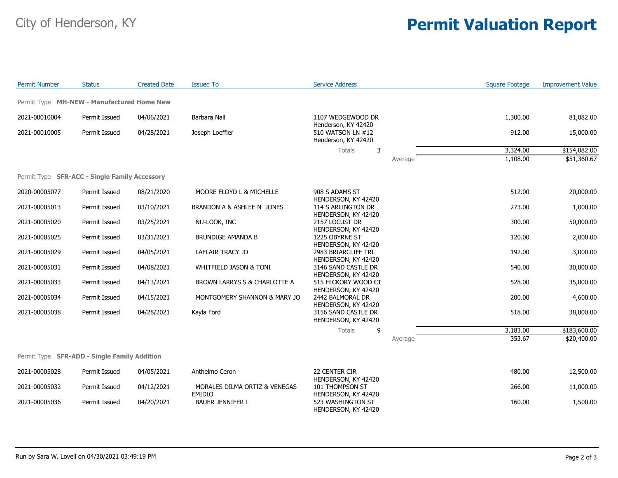## City of Henderson, KY **Permit Valuation Report**

| <b>Permit Number</b> | <b>Status</b>                                 | <b>Created Date</b> | <b>Issued To</b>                               | <b>Service Address</b>                                                                                                     |         | <b>Square Footage</b> | <b>Improvement Value</b> |
|----------------------|-----------------------------------------------|---------------------|------------------------------------------------|----------------------------------------------------------------------------------------------------------------------------|---------|-----------------------|--------------------------|
|                      | Permit Type MH-NEW - Manufactured Home New    |                     |                                                |                                                                                                                            |         |                       |                          |
| 2021-00010004        | Permit Issued                                 | 04/06/2021          | Barbara Nall                                   | 1107 WEDGEWOOD DR<br>Henderson, KY 42420<br>510 WATSON LN #12<br>Henderson, KY 42420                                       |         | 1,300.00              | 81,082.00                |
| 2021-00010005        | Permit Issued                                 | 04/28/2021          | Joseph Loeffler                                |                                                                                                                            |         | 912.00                | 15,000.00                |
|                      |                                               |                     |                                                | 3<br>Totals                                                                                                                |         | 3,324.00              | \$154,082.00             |
|                      |                                               |                     |                                                |                                                                                                                            | Average | 1,108.00              | \$51,360.67              |
|                      | Permit Type SFR-ACC - Single Family Accessory |                     |                                                |                                                                                                                            |         |                       |                          |
| 2020-00005077        | Permit Issued                                 | 08/21/2020          | MOORE FLOYD L & MICHELLE                       | 908 S ADAMS ST<br>HENDERSON, KY 42420<br>114 S ARLINGTON DR<br>HENDERSON, KY 42420                                         |         | 512.00                | 20,000.00                |
| 2021-00005013        | Permit Issued                                 | 03/10/2021          | BRANDON A & ASHLEE N JONES                     |                                                                                                                            |         | 273.00                | 1,000.00                 |
| 2021-00005020        | Permit Issued                                 | 03/25/2021          | NU-LOOK, INC                                   | 2157 LOCUST DR<br>HENDERSON, KY 42420                                                                                      |         | 300.00                | 50,000.00                |
| 2021-00005025        | Permit Issued                                 | 03/31/2021          | <b>BRUNDIGE AMANDA B</b>                       | 1225 OBYRNE ST<br>HENDERSON, KY 42420                                                                                      |         | 120.00                | 2,000.00                 |
| 2021-00005029        | Permit Issued                                 | 04/05/2021          | LAFLAIR TRACY JO                               | 2983 BRIARCLIFF TRL<br>HENDERSON, KY 42420                                                                                 |         | 192.00                | 3,000.00                 |
| 2021-00005031        | Permit Issued                                 | 04/08/2021          | WHITFIELD JASON & TONI                         | 3146 SAND CASTLE DR<br>HENDERSON, KY 42420                                                                                 |         | 540.00                | 30,000.00                |
| 2021-00005033        | Permit Issued                                 | 04/13/2021          | BROWN LARRYS S & CHARLOTTE A                   | 515 HICKORY WOOD CT<br>HENDERSON, KY 42420                                                                                 |         | 528.00                | 35,000.00                |
| 2021-00005034        | Permit Issued                                 | 04/15/2021          | MONTGOMERY SHANNON & MARY JO                   | 2442 BALMORAL DR<br>HENDERSON, KY 42420                                                                                    |         | 200.00                | 4,600.00                 |
| 2021-00005038        | Permit Issued                                 | 04/28/2021          | Kayla Ford                                     | 3156 SAND CASTLE DR<br>HENDERSON, KY 42420                                                                                 |         | 518.00                | 38,000.00                |
|                      |                                               |                     |                                                | Totals<br>9                                                                                                                |         | 3,183.00              | \$183,600.00             |
|                      |                                               |                     |                                                |                                                                                                                            | Average | 353.67                | \$20,400.00              |
|                      | Permit Type SFR-ADD - Single Family Addition  |                     |                                                |                                                                                                                            |         |                       |                          |
| 2021-00005028        | Permit Issued                                 | 04/05/2021          | Anthelmo Ceron                                 | 22 CENTER CIR<br>HENDERSON, KY 42420<br>101 THOMPSON ST<br>HENDERSON, KY 42420<br>523 WASHINGTON ST<br>HENDERSON, KY 42420 |         | 480.00                | 12,500.00                |
| 2021-00005032        | Permit Issued                                 | 04/12/2021          | MORALES DILMA ORTIZ & VENEGAS<br><b>EMIDIO</b> |                                                                                                                            |         | 266.00                | 11,000.00                |
| 2021-00005036        | Permit Issued                                 | 04/20/2021          | <b>BAUER JENNIFER I</b>                        |                                                                                                                            |         | 160.00                | 1,500.00                 |